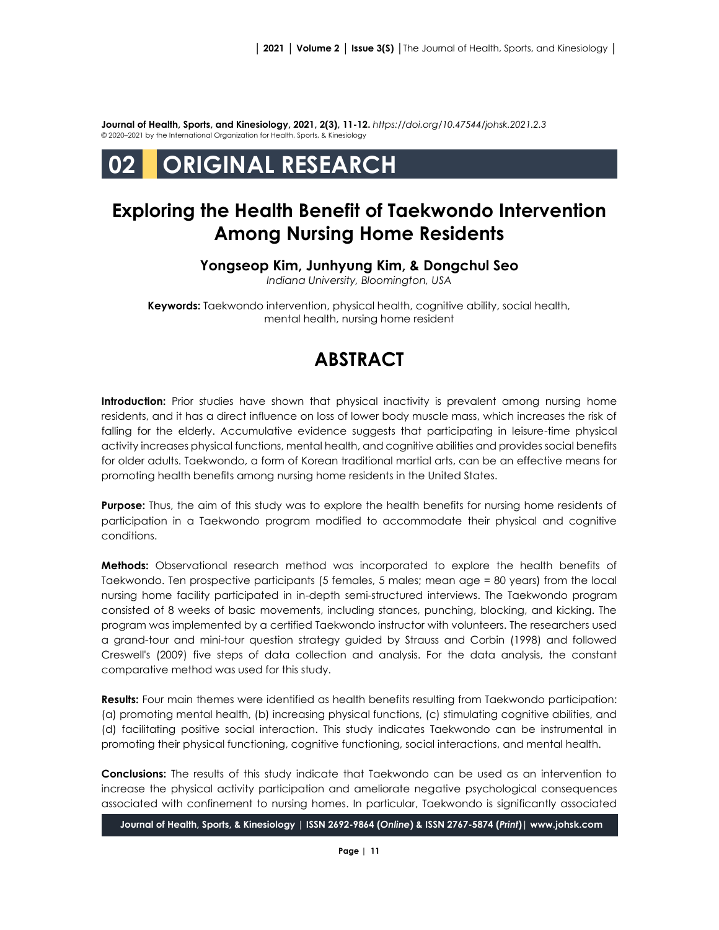**Journal of Health, Sports, and Kinesiology, 2021, 2(3), 11-12.** *<https://doi.org/10.47544/johsk.2021.2.3>* © 2020–2021 by the International Organization for Health, Sports, & Kinesiology

# **02 ORIGINAL RESEARCH**

### **Exploring the Health Benefit of Taekwondo Intervention Among Nursing Home Residents**

### **Yongseop Kim, Junhyung Kim, & Dongchul Seo**

*Indiana University, Bloomington, USA*

**Keywords:** Taekwondo intervention, physical health, cognitive ability, social health, mental health, nursing home resident

## **ABSTRACT**

**Introduction:** Prior studies have shown that physical inactivity is prevalent among nursing home residents, and it has a direct influence on loss of lower body muscle mass, which increases the risk of falling for the elderly. Accumulative evidence suggests that participating in leisure-time physical activity increases physical functions, mental health, and cognitive abilities and provides social benefits for older adults. Taekwondo, a form of Korean traditional martial arts, can be an effective means for promoting health benefits among nursing home residents in the United States.

**Purpose:** Thus, the aim of this study was to explore the health benefits for nursing home residents of participation in a Taekwondo program modified to accommodate their physical and cognitive conditions.

**Methods:** Observational research method was incorporated to explore the health benefits of Taekwondo. Ten prospective participants (5 females, 5 males; mean age = 80 years) from the local nursing home facility participated in in-depth semi-structured interviews. The Taekwondo program consisted of 8 weeks of basic movements, including stances, punching, blocking, and kicking. The program was implemented by a certified Taekwondo instructor with volunteers. The researchers used a grand-tour and mini-tour question strategy guided by Strauss and Corbin (1998) and followed Creswell's (2009) five steps of data collection and analysis. For the data analysis, the constant comparative method was used for this study.

**Results:** Four main themes were identified as health benefits resulting from Taekwondo participation: (a) promoting mental health, (b) increasing physical functions, (c) stimulating cognitive abilities, and (d) facilitating positive social interaction. This study indicates Taekwondo can be instrumental in promoting their physical functioning, cognitive functioning, social interactions, and mental health.

**Conclusions:** The results of this study indicate that Taekwondo can be used as an intervention to increase the physical activity participation and ameliorate negative psychological consequences associated with confinement to nursing homes. In particular, Taekwondo is significantly associated

**Journal of Health, Sports, & Kinesiology | ISSN 2692-9864 (***Online***) & ISSN 2767-5874 (***Print***)| www.johsk.com**